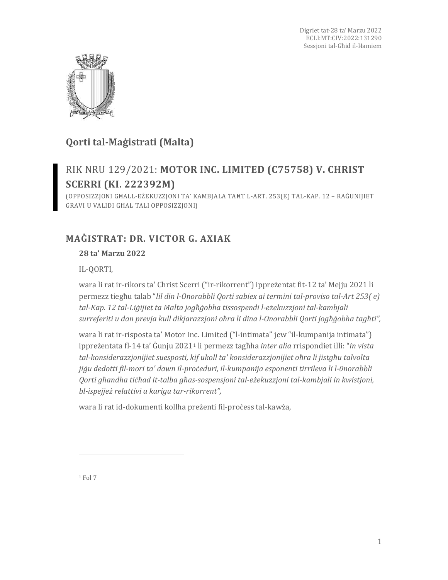

# **Qorti tal-Maġistrati (Malta)**

# RIK NRU 129/2021: **MOTOR INC. LIMITED (C75758) V. CHRIST SCERRI (KI. 222392M)**

(OPPOSIZZJONI GĦALL-EŻEKUZZJONI TA' KAMBJALA TAĦT L-ART. 253(E) TAL-KAP. 12 – RAĠUNIJIET GRAVI U VALIDI GĦAL TALI OPPOSIZZJONI)

## **MAĠISTRAT: DR. VICTOR G. AXIAK**

## **28 ta' Marzu 2022**

IL-QORTI,

wara li rat ir-rikors ta' Christ Scerri ("ir-rikorrent") ippreżentat fit-12 ta' Mejju 2021 li permezz tiegħu talab "*lil din l-Onorabbli Qorti sabiex ai termini tal-proviso tal-Art 253( e) tal-Kap. 12 tal-Liġijiet ta Malta jogħġobha tissospendi l-eżekuzzjoni tal-kambjali surreferiti u dan prevja kull dikjarazzjoni oħra li dina l-Onorabbli Qorti jogħġobha tagħti",*

wara li rat ir-risposta ta' Motor Inc. Limited ("l-intimata" jew "il-kumpanija intimata") ippreżentata fl-14 ta' Ġunju 2021[1](#page-0-0) li permezz tagħha *inter alia* rrispondiet illi: "*in vista tal-konsiderazzjonijiet suesposti, kif ukoll ta' konsiderazzjonijiet oħra li jistgħu talvolta jiġu dedotti fil-mori ta' dawn il-proċeduri, il-kumpanija esponenti tirrileva li l-0norabbli Qorti għandha tiċħad it-talba għas-sospensjoni tal-eżekuzzjoni tal-kambjali in kwistjoni, bl-ispejjeż relattivi a karigu tar-rikorrent",*

wara li rat id-dokumenti kollha preżenti fil-proċess tal-kawża,

<span id="page-0-0"></span> $1$  Fol  $7$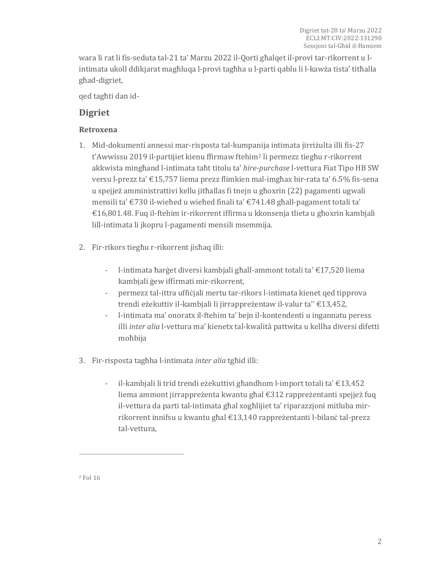wara li rat li fis-seduta tal-21 ta' Marzu 2022 il-Qorti għalqet il-provi tar-rikorrent u lintimata ukoll ddikjarat magħluqa l-provi tagħha u l-parti qablu li l-kawża tista' titħalla għad-digriet,

qed tagħti dan id-

## **Digriet**

### **Retroxena**

- 1. Mid-dokumenti annessi mar-risposta tal-kumpanija intimata jirriżulta illi fis-27 t'Awwissu 2019 il-partijiet kienu ffirmaw ftehim[2](#page-1-0) li permezz tiegħu r-rikorrent akkwista mingħand l-intimata taħt titolu ta' *hire-purchase* l-vettura Fiat Tipo HB SW versu l-prezz ta' €15,757 liema prezz flimkien mal-imgħax bir-rata ta' 6.5% fis-sena u spejjeż amministrattivi kellu jitħallas fi tnejn u għoxrin (22) pagamenti ugwali mensili ta' €730 il-wieħed u wieħed finali ta' €741.48 għall-pagament totali ta' €16,801.48. Fuq il-ftehim ir-rikorrent iffirma u kkonsenja tlieta u għoxrin kambjali lill-intimata li jkopru l-pagamenti mensili msemmija.
- 2. Fir-rikors tiegħu r-rikorrent jisħaq illi:
	- l-intimata ħarġet diversi kambjali għall-ammont totali ta' €17,520 liema kambjali ġew iffirmati mir-rikorrent,
	- permezz tal-ittra uffiċjali mertu tar-rikors l-intimata kienet qed tipprova trendi eżekuttiv il-kambjali li jirrappreżentaw il-valur ta'' €13,452,
	- l-intimata ma' onoratx il-ftehim ta' bejn il-kontendenti u ingannatu peress illi *inter alia* l-vettura ma' kienetx tal-kwalità pattwita u kellha diversi difetti moħbija
- 3. Fir-risposta tagħha l-intimata *inter alia* tgħid illi:
	- il-kambjali li trid trendi eżekuttivi għandhom l-import totali ta' €13,452 liema ammont jirrappreżenta kwantu għal €312 rappreżentanti spejjeż fuq il-vettura da parti tal-intimata għal xogħlijiet ta' riparazzjoni mitluba mirrikorrent innifsu u kwantu għal €13,140 rappreżentanti l-bilanċ tal-prezz tal-vettura,

<span id="page-1-0"></span><sup>2</sup> Fol 16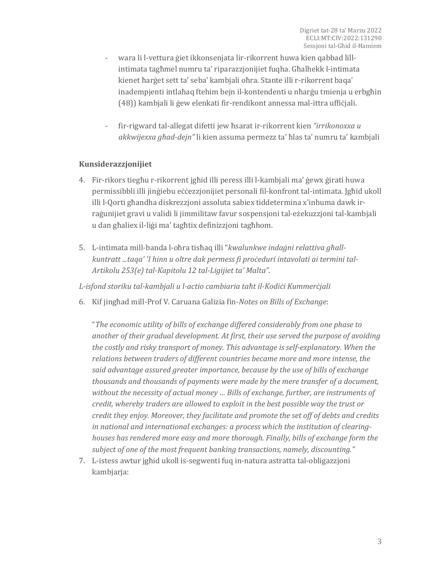- wara li l-vettura ġiet ikkonsenjata lir-rikorrent huwa kien qabbad lillintimata tagħmel numru ta' riparazzjonijiet fuqha. Għalhekk l-intimata kienet ħarġet sett ta' seba' kambjali oħra. Stante illi r-rikorrent baqa' inadempjenti intlaħaq ftehim bejn il-kontendenti u nħarġu tmienja u erbgħin (48)) kambjali li ġew elenkati fir-rendikont annessa mal-ittra uffiċjali.
- fir-rigward tal-allegat difetti jew ħsarat ir-rikorrent kien *"irrikonoxxa u akkwijexxa għad-dejn"* li kien assuma permezz ta' ħlas ta' numru ta' kambjali

#### **Kunsiderazzjonijiet**

- 4. Fir-rikors tiegħu r-rikorrent jgħid illi peress illi l-kambjali ma' ġewx ġirati huwa permissibbli illi jinġiebu eċċezzjonijiet personali fil-konfront tal-intimata. Jgħid ukoll illi l-Qorti għandha diskrezzjoni assoluta sabiex tiddetermina x'inhuma dawk irraġunijiet gravi u validi li jimmilitaw favur sospensjoni tal-eżekuzzjoni tal-kambjali u dan għaliex il-liġi ma' tagħtix definizzjoni tagħhom.
- 5. L-intimata mill-banda l-oħra tisħaq illi "*kwalunkwe indaġni relattiva għallkuntratt ...taqa' 'I hinn u oltre dak permess fi proċeduri intavolati ai termini tal-Artikolu 253(e) tal-Kapitolu 12 tal-Ligijiet ta' Malta"*.

*L-isfond storiku tal-kambjali u l-actio cambiaria taħt il-Kodiċi Kummerċjali*

6. Kif jingħad mill-Prof V. Caruana Galizia fin-*Notes on Bills of Exchange*:

"*The economic utility of bills of exchange differed considerably from one phase to another of their gradual development. At first, their use served the purpose of avoiding the costly and risky transport of money. This advantage is self-explanatory. When the relations between traders of different countries became more and more intense, the said advantage assured greater importance, because by the use of bills of exchange thousands and thousands of payments were made by the mere transfer of a document, without the necessity of actual money … Bills of exchange, further, are instruments of credit, whereby traders are allowed to exploit in the best possible way the trust or credit they enjoy. Moreover, they facilitate and promote the set off of debts and credits in national and international exchanges: a process which the institution of clearinghouses has rendered more easy and more thorough. Finally, bills of exchange form the subject of one of the most frequent banking transactions, namely, discounting."*

7. L-istess awtur jgħid ukoll is-segwenti fuq in-natura astratta tal-obligazzjoni kambjarja: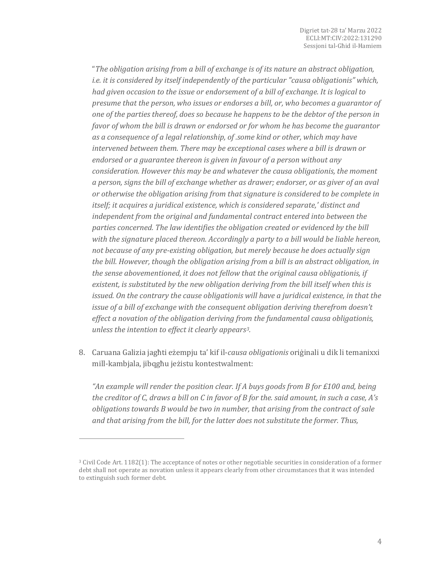"*The obligation arising from a bill of exchange is of its nature an abstract obligation, i.e. it is considered by itself independently of the particular "causa obligationis" which, had given occasion to the issue or endorsement of a bill of exchange. It is logical to presume that the person, who issues or endorses a bill, or, who becomes a guarantor of one of the parties thereof, does so because he happens to be the debtor of the person in favor of whom the bill is drawn or endorsed or for whom he has become the guarantor as a consequence of a legal relationship, of .some kind or other, which may have intervened between them. There may be exceptional cases where a bill is drawn or endorsed or a guarantee thereon is given in favour of a person without any consideration. However this may be and whatever the causa obligationis, the moment a person, signs the bill of exchange whether as drawer; endorser, or as giver of an aval or otherwise the obligation arising from that signature is considered to be complete in itself; it acquires a juridical existence, which is considered separate,' distinct and independent from the original and fundamental contract entered into between the parties concerned. The law identifies the obligation created or evidenced by the bill with the signature placed thereon. Accordingly a party to a bill would be liable hereon, not because of any pre-existing obligation, but merely because he does actually sign the bill. However, though the obligation arising from a bill is an abstract obligation, in the sense abovementioned, it does not fellow that the original causa obligationis, if existent, is substituted by the new obligation deriving from the bill itself when this is issued. On the contrary the cause obligationis will have a juridical existence, in that the issue of a bill of exchange with the consequent obligation deriving therefrom doesn't effect a novation of the obligation deriving from the fundamental causa obligationis, unless the intention to effect it clearly appears[3.](#page-3-0)* 

8. Caruana Galizia jagħti eżempju ta' kif il-*causa obligationis* oriġinali u dik li temanixxi mill-kambjala, jibqgħu jeżistu kontestwalment:

*"An example will render the position clear. If A buys goods from B for £100 and, being the creditor of C, draws a bill on C in favor of B for the. said amount, in such a case, A's obligations towards B would be two in number, that arising from the contract of sale and that arising from the bill, for the latter does not substitute the former. Thus,*

<span id="page-3-0"></span><sup>3</sup> Civil Code Art. 1182(1): The acceptance of notes or other negotiable securities in consideration of a former debt shall not operate as novation unless it appears clearly from other circumstances that it was intended to extinguish such former debt.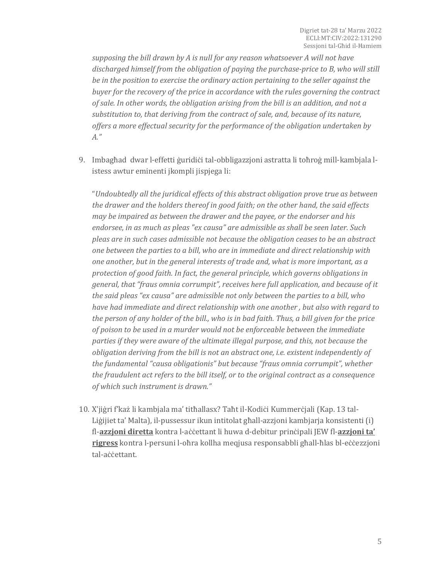*supposing the bill drawn by A is null for any reason whatsoever A will not have discharged himself from the obligation of paying the purchase-price to B, who will still be in the position to exercise the ordinary action pertaining to the seller against the buyer for the recovery of the price in accordance with the rules governing the contract of sale. In other words, the obligation arising from the bill is an addition, and not a substitution to, that deriving from the contract of sale, and, because of its nature, offers a more effectual security for the performance of the obligation undertaken by A."*

9. Imbagħad dwar l-effetti ġuridiċi tal-obbligazzjoni astratta li toħroġ mill-kambjala listess awtur eminenti jkompli jispjega li:

"*Undoubtedly all the juridical effects of this abstract obligation prove true as between the drawer and the holders thereof in good faith; on the other hand, the said effects may be impaired as between the drawer and the payee, or the endorser and his endorsee, in as much as pleas "ex causa" are admissible as shall be seen later. Such pleas are in such cases admissible not because the obligation ceases to be an abstract one between the parties to a bill, who are in immediate and direct relationship with one another, but in the general interests of trade and, what is more important, as a protection of good faith. In fact, the general principle, which governs obligations in general, that "fraus omnia corrumpit", receives here full application, and because of it the said pleas "ex causa" are admissible not only between the parties to a bill, who have had immediate and direct relationship with one another , but also with regard to the person of any holder of the bill., who is in bad faith. Thus, a bill given for the price of poison to be used in a murder would not be enforceable between the immediate parties if they were aware of the ultimate illegal purpose, and this, not because the obligation deriving from the bill is not an abstract one, i.e. existent independently of the fundamental "causa obligationis" but because "fraus omnia corrumpit", whether the fraudulent act refers to the bill itself, or to the original contract as a consequence of which such instrument is drawn."*

10. X'jiġri f'każ li kambjala ma' titħallasx? Taħt il-Kodiċi Kummerċjali (Kap. 13 tal-Liġijiet ta' Malta), il-pussessur ikun intitolat għall-azzjoni kambjarja konsistenti (i) fl-**azzjoni diretta** kontra l-aċċettant li huwa d-debitur prinċipali JEW fl-**azzjoni ta' rigress** kontra l-persuni l-oħra kollha meqjusa responsabbli għall-ħlas bl-eċċezzjoni tal-aċċettant.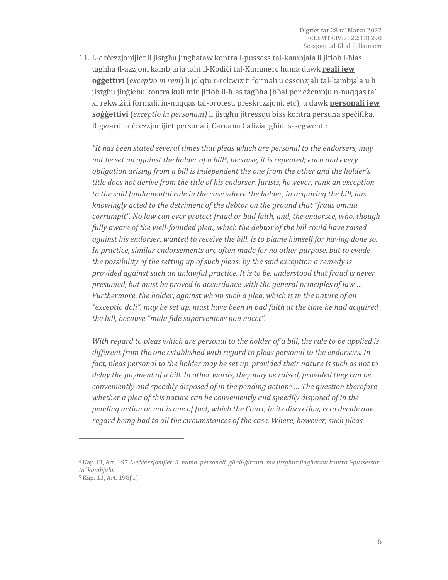11. L-eċċezzjonijiet li jistgħu jingħataw kontra l-pussess tal-kambjala li jitlob l-ħlas tagħha fl-azzjoni kambjarja taħt il-Kodiċi tal-Kummerċ huma dawk **reali jew oġġettivi** (*exceptio in rem*) li jolqtu r-rekwiżiti formali u essenzjali tal-kambjala u li jistgħu jinġiebu kontra kull min jitlob il-ħlas tagħha (bħal per eżempju n-nuqqas ta' xi rekwiżiti formali, in-nuqqas tal-protest, preskrizzjoni, etc), u dawk **personali jew soġġettivi** (*exceptio in personam)* li jistgħu jitressqu biss kontra persuna speċifika. Rigward l-eċċezzjonijiet personali, Caruana Galizia jgħid is-segwenti:

*"It has been stated several times that pleas which are personal to the endorsers, may not be set up against the holder of a bill[4](#page-5-0), because, it is repeated; each and every obligation arising from a bill is independent the one from the other and the holder's title does not derive from the title of his endorser. Jurists, however, rank an exception to the said fundamental rule in the case where the holder, in acquiring the bill, has knowingly acted to the detriment of the debtor on the ground that "fraus omnia corrumpit". No law can ever protect fraud or bad faith, and, the endorsee, who, though fully aware of the well-founded plea,, which the debtor of the bill could have raised against his endorser, wanted to receive the bill, is to blame himself for having done so. In practice, similar endorsements are often made for no other purpose, but to evade the possibility of the setting up of such pleas: by the said exception a remedy is provided against such an unlawful practice. It is to be. understood that fraud is never presumed, but must be proved in accordance with the general principles of law … Furthermore, the holder, against whom such a plea, which is in the nature of an "exceptio doli", may be set up, must have been in bad faith at the time he had acquired the bill, because "mala fide superveniens non nocet".*

*With regard to pleas which are personal to the holder of a bill, the rule to be applied is different from the one established with regard to pleas personal to the endorsers. In fact, pleas personal to the holder may be set up, provided their nature is such as not to delay the payment of a bill. In other words, they may be raised, provided they can be conveniently and speedily disposed of in the pending action[5](#page-5-1) … The question therefore whether a plea of this nature can be conveniently and speedily disposed of in the pending action or not is one of fact, which the Court, in its discretion, is to decide due regard being had to all the circumstances of the case. Where, however, such pleas* 

<span id="page-5-1"></span><span id="page-5-0"></span><sup>4</sup> Kap 13, Art. 197 *L-eċċezzjonijiet li huma personali għall-ġiranti ma jistgħux jingħataw kontra l-pussessur ta' kambjala.* <sup>5</sup> Kap. 13, Art. 198(1)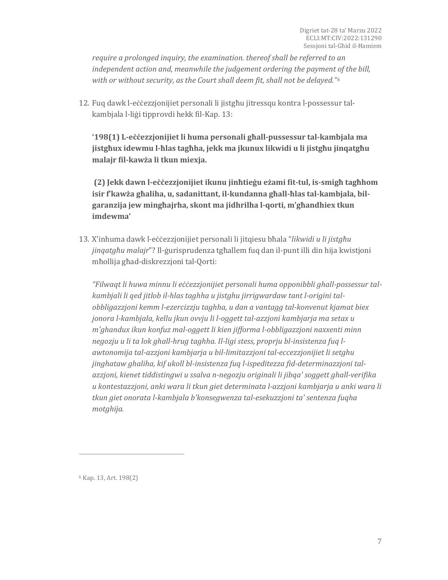*require a prolonged inquiry, the examination. thereof shall be referred to an independent action and, meanwhile the judgement ordering the payment of the bill, with or without security, as the Court shall deem fit, shall not be delayed."[6](#page-6-0)*

12. Fuq dawk l-eċċezzjonijiet personali li jistgħu jitressqu kontra l-possessur talkambjala l-liġi tipprovdi hekk fil-Kap. 13:

**'198(1) L-eċċezzjonijiet li huma personali għall-pussessur tal-kambjala ma jistgħux idewmu l-ħlas tagħha, jekk ma jkunux likwidi u li jistgħu jinqatgħu malajr fil-kawża li tkun miexja.**

**(2) Jekk dawn l-eċċezzjonijiet ikunu jinħtieġu eżami fit-tul, is-smigħ tagħhom isir f'kawża għaliha, u, sadanittant, il-kundanna għall-ħlas tal-kambjala, bilgaranzija jew mingħajrha, skont ma jidhrilha l-qorti, m'għandhiex tkun imdewma'**

13. X'inhuma dawk l-eċċezzjonijiet personali li jitqiesu bħala "*likwidi u li jistgħu jinqatgħu malajr*"? Il-ġurisprudenza tgħallem fuq dan il-punt illi din hija kwistjoni mħollija għad-diskrezzjoni tal-Qorti:

*"Filwaqt li huwa minnu li eċċezzjonijiet personali huma opponibbli ghall-possessur talkambjali li qed jitlob il-hlas taghha u jistghu jirrigwardaw tant l-origini talobbligazzjoni kemm l-ezercizzju taghha, u dan a vantagg tal-konvenut kjamat biex jonora l-kambjala, kellu jkun ovvju li l-oggett tal-azzjoni kambjarja ma setax u m'ghandux ikun konfuz mal-oggett li kien jifforma l-obbligazzjoni naxxenti minn negozju u li ta lok ghall-hrug taghha. Il-ligi stess, proprju bl-insistenza fuq lawtonomija tal-azzjoni kambjarja u bil-limitazzjoni tal-eccezzjonijiet li setghu jinghataw ghaliha, kif ukoll bl-insistenza fuq l-ispeditezza fid-determinazzjoni talazzjoni, kienet tiddistingwi u ssalva n-negozju originali li jibqa' soggett ghall-verifika u kontestazzjoni, anki wara li tkun giet determinata l-azzjoni kambjarja u anki wara li tkun giet onorata l-kambjala b'konsegwenza tal-esekuzzjoni ta' sentenza fuqha motghija.*

<span id="page-6-0"></span><sup>6</sup> Kap. 13, Art. 198(2)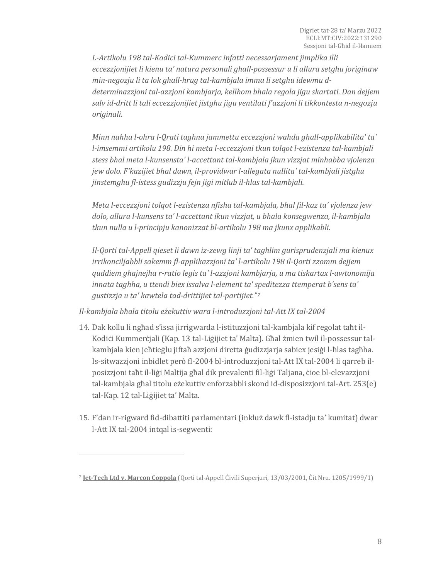*L-Artikolu 198 tal-Kodici tal-Kummerc infatti necessarjament jimplika illi eccezzjonijiet li kienu ta' natura personali ghall-possessur u li allura setghu joriginaw min-negozju li ta lok ghall-hrug tal-kambjala imma li setghu idewmu ddeterminazzjoni tal-azzjoni kambjarja, kellhom bhala regola jigu skartati. Dan dejjem salv id-dritt li tali eccezzjonijiet jistghu jigu ventilati f'azzjoni li tikkontesta n-negozju originali.*

*Minn nahha l-ohra l-Qrati taghna jammettu eccezzjoni wahda ghall-applikabilita' ta' l-imsemmi artikolu 198. Din hi meta l-eccezzjoni tkun tolqot l-ezistenza tal-kambjali stess bhal meta l-kunsensta' l-accettant tal-kambjala jkun vizzjat minhabba vjolenza jew dolo. F'kazijiet bhal dawn, il-providwar l-allegata nullita' tal-kambjali jistghu jinstemghu fl-istess gudizzju fejn jigi mitlub il-hlas tal-kambjali.*

*Meta l-eccezzjoni tolqot l-ezistenza nfisha tal-kambjala, bhal fil-kaz ta' vjolenza jew dolo, allura l-kunsens ta' l-accettant ikun vizzjat, u bhala konsegwenza, il-kambjala tkun nulla u l-principju kanonizzat bl-artikolu 198 ma jkunx applikabli.*

*Il-Qorti tal-Appell qieset li dawn iz-zewg linji ta' taghlim gurisprudenzjali ma kienux irrikonciljabbli sakemm fl-applikazzjoni ta' l-artikolu 198 il-Qorti zzomm dejjem quddiem ghajnejha r-ratio legis ta' l-azzjoni kambjarja, u ma tiskartax l-awtonomija innata taghha, u ttendi biex issalva l-element ta' speditezza ttemperat b'sens ta' gustizzja u ta' kawtela tad-drittijiet tal-partijiet."[7](#page-7-0)*

*Il-kambjala bħala titolu eżekuttiv wara l-introduzzjoni tal-Att IX tal-2004*

- 14. Dak kollu li ngħad s'issa jirrigwarda l-istituzzjoni tal-kambjala kif regolat taħt il-Kodiċi Kummerċjali (Kap. 13 tal-Liġijiet ta' Malta). Għal żmien twil il-possessur talkambjala kien jeħtieġlu jiftaħ azzjoni diretta ġudizzjarja sabiex jesiġi l-ħlas tagħha. Is-sitwazzjoni inbidlet però fl-2004 bl-introduzzjoni tal-Att IX tal-2004 li qarreb ilposizzjoni taħt il-liġi Maltija għal dik prevalenti fil-liġi Taljana, ċioe bl-elevazzjoni tal-kambjala għal titolu eżekuttiv enforzabbli skond id-disposizzjoni tal-Art. 253(e) tal-Kap. 12 tal-Liġijiet ta' Malta.
- 15. F'dan ir-rigward fid-dibattiti parlamentari (inkluż dawk fl-istadju ta' kumitat) dwar l-Att IX tal-2004 intqal is-segwenti:

<span id="page-7-0"></span><sup>7</sup> **Jet-Tech Ltd v. Marcon Coppola** (Qorti tal-Appell Ċivili Superjuri, 13/03/2001, Ċit Nru. 1205/1999/1)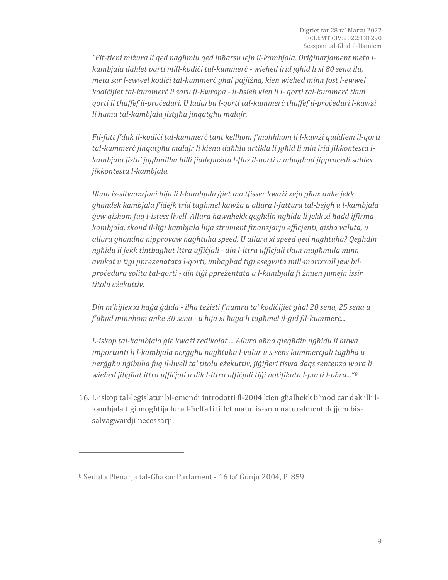*"Fit-tieni miżura li qed nagħmlu qed inħarsu lejn il-kambjala. Oriġinarjament meta lkambjala daħlet parti mill-kodiċi tal-kummerċ - wieħed irid jgħid li xi 80 sena ilu, meta sar l-ewwel kodiċi tal-kummerċ għal pajjiżna, kien wieħed minn fost l-ewwel kodiċijiet tal-kummerċ li saru fl-Ewropa - il-ħsieb kien li l- qorti tal-kummerċ tkun qorti li tħaffef il-proċeduri. U ladarba l-qorti tal-kummerċ tħaffef il-proċeduri l-kawżi li huma tal-kambjala jistgħu jinqatgħu malajr.*

*Fil-fatt f'dak il-kodiċi tal-kummerċ tant kellhom f'moħħhom li l-kawżi quddiem il-qorti tal-kummerċ jinqatgħu malajr li kienu daħħlu artiklu li jgħid li min irid jikkontesta lkambjala jista' jagħmilha billi jiddepożita l-flus il-qorti u mbagħad jipproċedi sabiex jikkontesta l-kambjala.*

*Illum is-sitwazzjoni hija li l-kambjala ġiet ma tfisser kważi xejn għax anke jekk għandek kambjala f'idejk trid tagħmel kawża u allura l-fattura tal-bejgħ u l-kambjala ġew qishom fuq l-istess livell. Allura hawnhekk qegħdin ngħidu li jekk xi ħadd iffirma kambjala, skond il-liġi kambjala hija strument finanzjarju effiċjenti, qisha valuta, u allura għandna nipprovaw nagħtuha speed. U allura xi speed qed nagħtuha? Qegħdin ngħidu li jekk tintbagħat ittra uffiċjali - din l-ittra uffiċjali tkun magħmula minn avukat u tiġi ppreżenatata l-qorti, imbagħad tiġi esegwita mill-marixxall jew bilproċedura solita tal-qorti - din tiġi ppreżentata u l-kambjala fi żmien jumejn issir titolu eżekuttiv.*

*Din m'hijiex xi ħaġa ġdida - ilha teżisti f'numru ta' kodiċijiet għal 20 sena, 25 sena u f'uħud minnhom anke 30 sena - u hija xi ħaġa li tagħmel il-ġid fil-kummerċ...*

*L-iskop tal-kambjala ġie kważi redikolat ... Allura aħna qiegħdin ngħidu li huwa importanti li l-kambjala nerġgħu nagħtuha l-valur u s-sens kummerċjali tagħha u nerġgħu nġibuha fuq il-livell ta' titolu eżekuttiv, jiġifieri tiswa daqs sentenza wara li wieħed jibgħat ittra uffiċjali u dik l-ittra uffiċjali tiġi notifikata l-parti l-oħra..."[8](#page-8-0)*

16. L-iskop tal-leġislatur bl-emendi introdotti fl-2004 kien għalhekk b'mod ċar dak illi lkambjala tiġi mogħtija lura l-ħeffa li tilfet matul is-snin naturalment dejjem bissalvagwardji neċessarji.

<span id="page-8-0"></span><sup>8</sup> Seduta Plenarja tal-Għaxar Parlament - 16 ta' Ġunju 2004, P. 859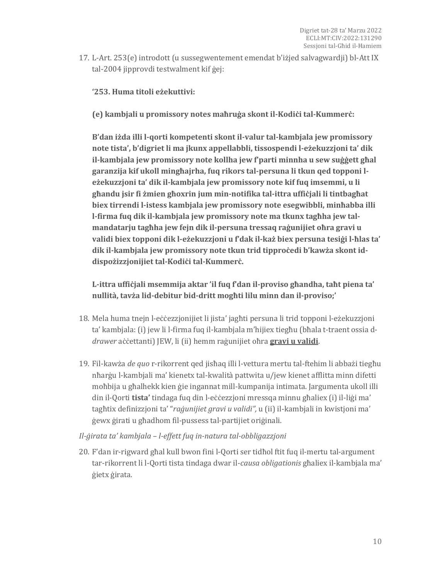17. L-Art. 253(e) introdott (u sussegwentement emendat b'iżjed salvagwardji) bl-Att IX tal-2004 jipprovdi testwalment kif ġej:

**'253. Huma titoli eżekuttivi:**

**(e) kambjali u promissory notes maħruġa skont il-Kodiċi tal-Kummerċ:**

**B'dan iżda illi l-qorti kompetenti skont il-valur tal-kambjala jew promissory note tista', b'digriet li ma jkunx appellabbli, tissospendi l-eżekuzzjoni ta' dik il-kambjala jew promissory note kollha jew f'parti minnha u sew suġġett għal garanzija kif ukoll mingħajrha, fuq rikors tal-persuna li tkun qed topponi leżekuzzjoni ta' dik il-kambjala jew promissory note kif fuq imsemmi, u li għandu jsir fi żmien għoxrin jum min-notifika tal-ittra uffiċjali li tintbagħat biex tirrendi l-istess kambjala jew promissory note esegwibbli, minħabba illi l-firma fuq dik il-kambjala jew promissory note ma tkunx tagħha jew talmandatarju tagħha jew fejn dik il-persuna tressaq raġunijiet oħra gravi u validi biex topponi dik l-eżekuzzjoni u f'dak il-każ biex persuna tesiġi l-ħlas ta' dik il-kambjala jew promissory note tkun trid tipproċedi b'kawża skont iddispożizzjonijiet tal-Kodiċi tal-Kummerċ.**

**L-ittra uffiċjali msemmija aktar 'il fuq f'dan il-proviso għandha, taħt piena ta' nullità, tavża lid-debitur bid-dritt mogħti lilu minn dan il-proviso;'**

- 18. Mela huma tnejn l-eċċezzjonijiet li jista' jagħti persuna li trid topponi l-eżekuzzjoni ta' kambjala: (i) jew li l-firma fuq il-kambjala m'hijiex tiegħu (bħala t-traent ossia d*drawer* aċċettanti) JEW, li (ii) hemm raġunijiet oħra **gravi u validi**.
- 19. Fil-kawża *de quo* r-rikorrent qed jisħaq illi l-vettura mertu tal-ftehim li abbażi tiegħu nħarġu l-kambjali ma' kienetx tal-kwalità pattwita u/jew kienet afflitta minn difetti moħbija u għalhekk kien ġie ingannat mill-kumpanija intimata. Jargumenta ukoll illi din il-Qorti **tista'** tindaga fuq din l-eċċezzjoni mressqa minnu għaliex (i) il-liġi ma' tagħtix definizzjoni ta' "*raġunijiet gravi u validi",* u (ii) il-kambjali in kwistjoni ma' ġewx ġirati u għadhom fil-pussess tal-partijiet oriġinali.

### *Il-ġirata ta' kambjala – l-effett fuq in-natura tal-obbligazzjoni*

20. F'dan ir-rigward għal kull bwon fini l-Qorti ser tidħol ftit fuq il-mertu tal-argument tar-rikorrent li l-Qorti tista tindaga dwar il-*causa obligationis* għaliex il-kambjala ma' ġietx ġirata.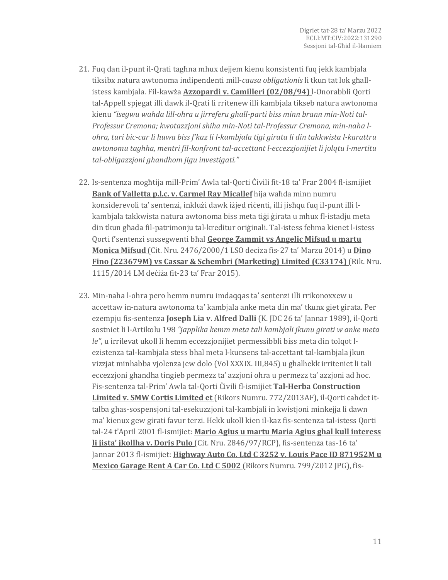- 21. Fuq dan il-punt il-Qrati tagħna mhux dejjem kienu konsistenti fuq jekk kambjala tiksibx natura awtonoma indipendenti mill-*causa obligationis* li tkun tat lok għallistess kambjala. Fil-kawża **Azzopardi v. Camilleri (02/08/94)** l-Onorabbli Qorti tal-Appell spjegat illi dawk il-Qrati li rritenew illi kambjala tikseb natura awtonoma kienu *"isegwu wahda lill-ohra u jirreferu ghall-parti biss minn brann min-Noti tal-Professur Cremona; kwotazzjoni shiha min-Noti tal-Professur Cremona, min-naha lohra, turi bic-car li huwa biss f'kaz li l-kambjala tigi girata li din takkwista l-karattru awtonomu taghha, mentri fil-konfront tal-accettant l-eccezzjonijiet li jolqtu l-mertitu tal-obligazzjoni ghandhom jigu investigati."*
- 22. Is-sentenza mogħtija mill-Prim' Awla tal-Qorti Ċivili fit-18 ta' Frar 2004 fl-ismijiet **Bank of Valletta p.l.c. v. Carmel Ray Micallef** hija waħda minn numru konsiderevoli ta' sentenzi, inklużi dawk iżjed riċenti, illi jisħqu fuq il-punt illi lkambjala takkwista natura awtonoma biss meta tiġi ġirata u mhux fl-istadju meta din tkun għada fil-patrimonju tal-kreditur oriġinali. Tal-istess fehma kienet l-istess Qorti f'sentenzi sussegwenti bħal **George Zammit vs Angelic Mifsud u martu Monica Mifsud** (Cit. Nru. 2476/2000/1 LSO deciza fis-27 ta' Marzu 2014) u **Dino Fino (223679M) vs Cassar & Schembri (Marketing) Limited (C33174)** (Rik. Nru. 1115/2014 LM deċiża fit-23 ta' Frar 2015).
- 23. Min-naha l-ohra pero hemm numru imdaqqas ta' sentenzi illi rrikonoxxew u accettaw in-natura awtonoma ta' kambjala anke meta din ma' tkunx giet girata. Per ezempju fis-sentenza **Joseph Lia v. Alfred Dalli** (K. JDC 26 ta' Jannar 1989), il-Qorti sostniet li l-Artikolu 198 *"japplika kemm meta tali kambjali jkunu girati w anke meta le"*, u irrilevat ukoll li hemm eccezzjonijiet permessibbli biss meta din tolqot lezistenza tal-kambjala stess bhal meta l-kunsens tal-accettant tal-kambjala jkun vizzjat minhabba vjolenza jew dolo (Vol XXXIX. III,845) u ghalhekk irriteniet li tali eccezzjoni ghandha tingieb permezz ta' azzjoni ohra u permezz ta' azzjoni ad hoc. Fis-sentenza tal-Prim' Awla tal-Qorti Ċivili fl-ismijiet **Tal-Herba Construction Limited v. SMW Cortis Limited et** (Rikors Numru. 772/2013AF), il-Qorti cahdet ittalba ghas-sospensjoni tal-esekuzzjoni tal-kambjali in kwistjoni minkejja li dawn ma' kienux gew girati favur terzi. Hekk ukoll kien il-kaz fis-sentenza tal-istess Qorti tal-24 t'April 2001 fl-ismijiet: **Mario Agius u martu Maria Agius ghal kull interess li jista' jkollha v. Doris Pulo** (Cit. Nru. 2846/97/RCP), fis-sentenza tas-16 ta' Jannar 2013 fl-ismijiet: **Highway Auto Co. Ltd C 3252 v. Louis Pace ID 871952M u Mexico Garage Rent A Car Co. Ltd C 5002** (Rikors Numru. 799/2012 JPG), fis-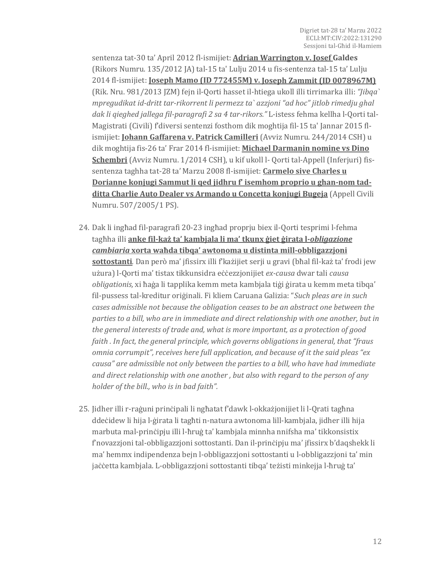sentenza tat-30 ta' April 2012 fl-ismijiet: **Adrian Warrington v. Josef Galdes**  (Rikors Numru. 135/2012 JA) tal-15 ta' Lulju 2014 u fis-sentenza tal-15 ta' Lulju 2014 fl-ismijiet: **Joseph Mamo (ID 772455M) v. Joseph Zammit (ID 0078967M)** (Rik. Nru. 981/2013 JZM) fejn il-Qorti hasset il-htiega ukoll illi tirrimarka illi: *"Jibqa` mpregudikat id-dritt tar-rikorrent li permezz ta` azzjoni "ad hoc" jitlob rimedju ghal dak li qieghed jallega fil-paragrafi 2 sa 4 tar-rikors."* L-istess fehma kellha l-Qorti tal-Magistrati (Civili) f'diversi sentenzi fosthom dik moghtija fil-15 ta' Jannar 2015 flismijiet: **Johann Gaffarena v. Patrick Camilleri** (Avviz Numru. 244/2014 CSH) u dik moghtija fis-26 ta' Frar 2014 fl-ismijiet: **Michael Darmanin nomine vs Dino Schembri** (Avviz Numru. 1/2014 CSH), u kif ukoll l- Qorti tal-Appell (Inferjuri) fissentenza taghha tat-28 ta' Marzu 2008 fl-ismijiet: **Carmelo sive Charles u Dorianne konjugi Sammut li qed jidhru f' isemhom proprio u ghan-nom tadditta Charlie Auto Dealer vs Armando u Concetta konjugi Bugeja** (Appell Civili Numru. 507/2005/1 PS).

- 24. Dak li ingħad fil-paragrafi 20-23 ingħad proprju biex il-Qorti tesprimi l-fehma tagħha illi **anke fil-każ ta' kambjala li ma' tkunx ġiet ġirata l-***obligazione cambiaria* **xorta waħda tibqa' awtonoma u distinta mill-obbligazzjoni sottostanti***.* Dan però ma' jfissirx illi f'każijiet serji u gravi (bħal fil-każ ta' frodi jew użura) l-Qorti ma' tistax tikkunsidra eċċezzjonijiet *ex-causa* dwar tali *causa obligationis,* xi ħaġa li tapplika kemm meta kambjala tiġi ġirata u kemm meta tibqa' fil-pussess tal-kreditur oriġinali. Fi kliem Caruana Galizia: "*Such pleas are in such cases admissible not because the obligation ceases to be an abstract one between the parties to a bill, who are in immediate and direct relationship with one another, but in the general interests of trade and, what is more important, as a protection of good faith . In fact, the general principle, which governs obligations in general, that "fraus omnia corrumpit", receives here full application, and because of it the said pleas "ex causa" are admissible not only between the parties to a bill, who have had immediate and direct relationship with one another , but also with regard to the person of any holder of the bill., who is in bad faith".*
- 25. Jidher illi r-raġuni prinċipali li ngħatat f'dawk l-okkażjonijiet li l-Qrati tagħna ddeċidew li hija l-ġirata li tagħti n-natura awtonoma lill-kambjala, jidher illi hija marbuta mal-prinċipju illi l-ħruġ ta' kambjala minnha nnifsha ma' tikkonsistix f'novazzjoni tal-obbligazzjoni sottostanti. Dan il-prinċipju ma' jfissirx b'daqshekk li ma' hemmx indipendenza bejn l-obbligazzjoni sottostanti u l-obbligazzjoni ta' min jaċċetta kambjala. L-obbligazzjoni sottostanti tibqa' teżisti minkejja l-ħruġ ta'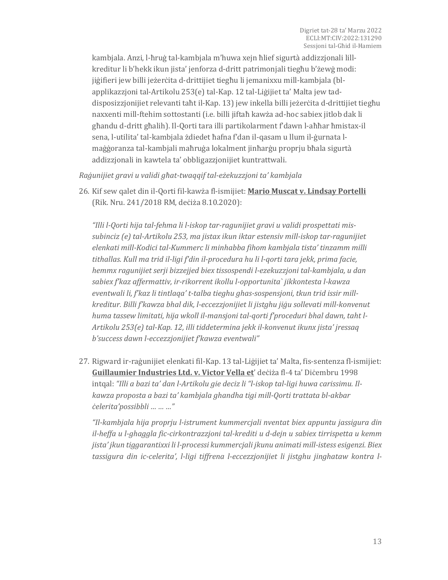kambjala. Anzi, l-ħruġ tal-kambjala m'huwa xejn ħlief sigurtà addizzjonali lillkreditur li b'hekk ikun jista' jenforza d-dritt patrimonjali tiegħu b'żewġ modi: jiġifieri jew billi jeżerċita d-drittijiet tiegħu li jemanixxu mill-kambjala (blapplikazzjoni tal-Artikolu 253(e) tal-Kap. 12 tal-Liġijiet ta' Malta jew taddisposizzjonijiet relevanti taħt il-Kap. 13) jew inkella billi jeżerċita d-drittijiet tiegħu naxxenti mill-ftehim sottostanti (i.e. billi jiftaħ kawża ad-hoc sabiex jitlob dak li għandu d-dritt għalih). Il-Qorti tara illi partikolarment f'dawn l-aħħar ħmistax-il sena, l-utilita' tal-kambjala żdiedet ħafna f'dan il-qasam u llum il-ġurnata lmaġġoranza tal-kambjali maħruġa lokalment jinħarġu proprju bħala sigurtà addizzjonali in kawtela ta' obbligazzjonijiet kuntrattwali.

*Raġunijiet gravi u validi għat-twaqqif tal-eżekuzzjoni ta' kambjala*

26. Kif sew qalet din il-Qorti fil-kawża fl-ismijiet: **Mario Muscat v. Lindsay Portelli** (Rik. Nru. 241/2018 RM, deċiża 8.10.2020):

*"Illi l-Qorti hija tal-fehma li l-iskop tar-ragunijiet gravi u validi prospettati missubinciz (e) tal-Artikolu 253, ma jistax ikun iktar estensiv mill-iskop tar-ragunijiet elenkati mill-Kodici tal-Kummerc li minhabba fihom kambjala tista' tinzamm milli tithallas. Kull ma trid il-ligi f'din il-procedura hu li l-qorti tara jekk, prima facie, hemmx ragunijiet serji bizzejjed biex tissospendi l-ezekuzzjoni tal-kambjala, u dan sabiex f'kaz affermattiv, ir-rikorrent ikollu l-opportunita` jikkontesta l-kawza eventwali li, f'kaz li tintlaqa' t-talba tieghu ghas-sospensjoni, tkun trid issir millkreditur. Billi f'kawza bhal dik, l-eccezzjonijiet li jistghu jiġu sollevati mill-konvenut huma tassew limitati, hija wkoll il-mansjoni tal-qorti f'proceduri bhal dawn, taht l-Artikolu 253(e) tal-Kap. 12, illi tiddetermina jekk il-konvenut ikunx jista' jressaq b'success dawn l-eccezzjonijiet f'kawza eventwali"*

27. Rigward ir-raġunijiet elenkati fil-Kap. 13 tal-Liġijiet ta' Malta, fis-sentenza fl-ismijiet: **Guillaumier Industries Ltd. v. Victor Vella et**' deċiża fl-4 ta' Diċembru 1998 intqal: *"Illi a bazi ta' dan l-Artikolu gie deciz li "l-iskop tal-ligi huwa carissimu. Ilkawza proposta a bazi ta' kambjala ghandha tigi mill-Qorti trattata bl-akbar ċelerita'possibbli … … …"*

*"Il-kambjala hija proprju l-istrument kummercjali nventat biex appuntu jassigura din il-heffa u l-ghaggla fic-cirkontrazzjoni tal-krediti u d-dejn u sabiex tirrispetta u kemm jista' jkun tiggarantixxi li l-processi kummercjali jkunu animati mill-istess esigenzi. Biex tassigura din ic-celerita', l-ligi tiffrena l-eccezzjonijiet li jistghu jinghataw kontra l-*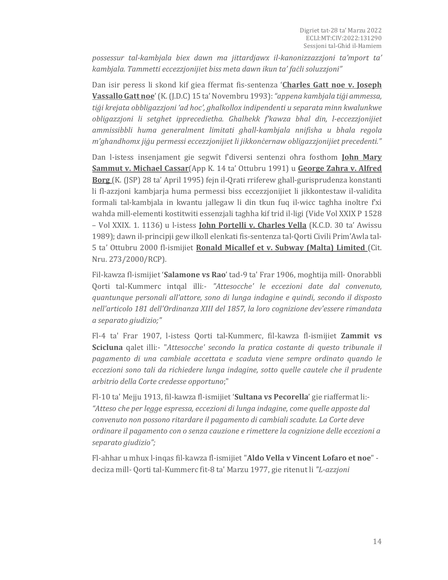*possessur tal-kambjala biex dawn ma jittardjawx il-kanonizzazzjoni ta'mport ta' kambjala. Tammetti eccezzjonijiet biss meta dawn ikun ta' faċli soluzzjoni"* 

Dan isir peress li skond kif giea ffermat fis-sentenza '**Charles Gatt noe v. Joseph Vassallo Gatt noe**' (K. (J.D.C) 15 ta' Novembru 1993):*"appena kambjala tiġi ammessa, tiġi krejata obbligazzjoni 'ad hoc', ghalkollox indipendenti u separata minn kwalunkwe obligazzjoni li setghet ipprecedietha. Ghalhekk f'kawza bhal din, l-eccezzjonijiet ammissibbli huma generalment limitati ghall-kambjala nnifisha u bhala regola m'ghandhomx jiġu permessi eccezzjonijiet li jikkonċernaw obligazzjonijiet precedenti."*

Dan l-istess insenjament gie segwit f'diversi sentenzi oħra fosthom **John Mary Sammut v. Michael Cassar**(App K. 14 ta' Ottubru 1991) u **George Zahra v. Alfred Borg** (K. (JSP) 28 ta' April 1995) fejn il-Qrati rriferew ghall-gurisprudenza konstanti li fl-azzjoni kambjarja huma permessi biss eccezzjonijiet li jikkontestaw il-validita formali tal-kambjala in kwantu jallegaw li din tkun fuq il-wicc taghha inoltre f'xi wahda mill-elementi kostitwiti essenzjali taghha kif trid il-ligi (Vide Vol XXIX P 1528 – Vol XXIX. 1. 1136) u l-istess **John Portelli v. Charles Vella** (K.C.D. 30 ta' Awissu 1989); dawn il-principji gew ilkoll elenkati fis-sentenza tal-Qorti Civili Prim'Awla tal-5 ta' Ottubru 2000 fl-ismijiet **Ronald Micallef et v. Subway (Malta) Limited** (Cit. Nru. 273/2000/RCP).

Fil-kawza fl-ismijiet '**Salamone vs Rao**' tad-9 ta' Frar 1906, moghtija mill- Onorabbli Qorti tal-Kummerc intqal illi:- *"Attesocche' le eccezioni date dal convenuto, quantunque personali all'attore, sono di lunga indagine e quindi, secondo il disposto nell'articolo 181 dell'Ordinanza XIII del 1857, la loro cognizione dev'essere rimandata a separato giudizio;"*

Fl-4 ta' Frar 1907, l-istess Qorti tal-Kummerc, fil-kawza fl-ismijiet **Zammit vs Scicluna** qalet illi:- "*Attesocche' secondo la pratica costante di questo tribunale il pagamento di una cambiale accettata e scaduta viene sempre ordinato quando le eccezioni sono tali da richiedere lunga indagine, sotto quelle cautele che il prudente arbitrio della Corte credesse opportuno*;"

Fl-10 ta' Mejju 1913, fil-kawza fl-ismijiet '**Sultana vs Pecorella**' gie riaffermat li:- *"Atteso che per legge espressa, eccezioni di lunga indagine, come quelle apposte dal convenuto non possono ritardare il pagamento di cambiali scadute. La Corte deve ordinare il pagamento con o senza cauzione e rimettere la cognizione delle eccezioni a separato giudizio";*

Fl-ahhar u mhux l-inqas fil-kawza fl-ismijiet "**Aldo Vella v Vincent Lofaro et noe**" deciza mill- Qorti tal-Kummerc fit-8 ta' Marzu 1977, gie ritenut li *"L-azzjoni*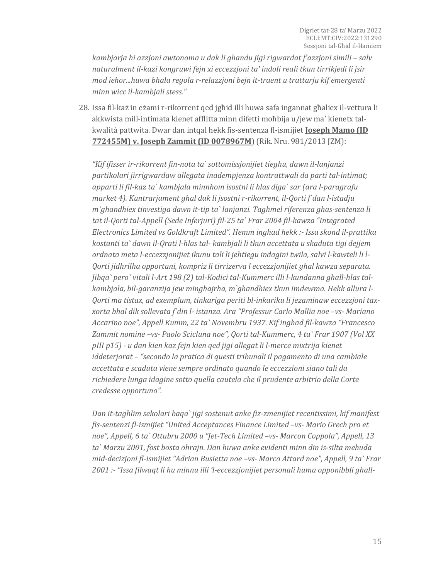*kambjarja hi azzjoni awtonoma u dak li ghandu jigi rigwardat f'azzjoni simili – salv naturalment il-kazi kongruwi fejn xi eccezzjoni ta' indoli reali tkun tirrikjedi li jsir mod iehor...huwa bhala regola r-relazzjoni bejn it-traent u trattarju kif emergenti minn wicc il-kambjali stess."*

28. Issa fil-każ in eżami r-rikorrent qed jgħid illi huwa safa ingannat għaliex il-vettura li akkwista mill-intimata kienet afflitta minn difetti moħbija u/jew ma' kienetx talkwalità pattwita. Dwar dan intqal hekk fis-sentenza fl-ismijiet **Joseph Mamo (ID 772455M) v. Joseph Zammit (ID 0078967M**) (Rik. Nru. 981/2013 JZM):

*"Kif ifisser ir-rikorrent fin-nota ta` sottomissjonijiet tieghu, dawn il-lanjanzi partikolari jirrigwardaw allegata inadempjenza kontrattwali da parti tal-intimat; apparti li fil-kaz ta` kambjala minnhom isostni li hlas diga` sar (ara l-paragrafu market 4). Kuntrarjament ghal dak li jsostni r-rikorrent, il-Qorti f`dan l-istadju m`ghandhiex tinvestiga dawn it-tip ta` lanjanzi. Taghmel riferenza ghas-sentenza li tat il-Qorti tal-Appell (Sede Inferjuri) fil-25 ta` Frar 2004 fil-kawza "Integrated Electronics Limited vs Goldkraft Limited". Hemm inghad hekk :- Issa skond il-prattika kostanti ta` dawn il-Qrati l-hlas tal- kambjali li tkun accettata u skaduta tigi dejjem ordnata meta l-eccezzjonijiet ikunu tali li jehtiegu indagini twila, salvi l-kawteli li l-Qorti jidhrilha opportuni, kompriz li tirrizerva l eccezzjonijiet ghal kawza separata. Jibqa` pero` vitali l-Art 198 (2) tal-Kodici tal-Kummerc illi l-kundanna ghall-hlas talkambjala, bil-garanzija jew minghajrha, m`ghandhiex tkun imdewma. Hekk allura l-Qorti ma tistax, ad exemplum, tinkariga periti bl-inkariku li jezaminaw eccezzjoni taxxorta bhal dik sollevata f`din l- istanza. Ara "Professur Carlo Mallia noe –vs- Mariano Accarino noe", Appell Kumm, 22 ta` Novembru 1937. Kif inghad fil-kawza "Francesco Zammit nomine –vs- Paolo Scicluna noe", Qorti tal-Kummerc, 4 ta` Frar 1907 (Vol XX pIII p15) - u dan kien kaz fejn kien qed jigi allegat li l-merce mixtrija kienet iddeterjorat – "secondo la pratica di questi tribunali il pagamento di una cambiale accettata e scaduta viene sempre ordinato quando le eccezzioni siano tali da richiedere lunga idagine sotto quella cautela che il prudente arbitrio della Corte credesse opportuno".*

*Dan it-taghlim sekolari baqa` jigi sostenut anke fiz-zmenijiet recentissimi, kif manifest fis-sentenzi fl-ismijiet "United Acceptances Finance Limited –vs- Mario Grech pro et noe", Appell, 6 ta` Ottubru 2000 u "Jet-Tech Limited –vs- Marcon Coppola", Appell, 13 ta` Marzu 2001, fost bosta ohrajn. Dan huwa anke evidenti minn din is-silta mehuda mid-decizjoni fl-ismijiet "Adrian Busietta noe –vs- Marco Attard noe", Appell, 9 ta` Frar 2001 :- "Issa filwaqt li hu minnu illi 'l-eccezzjonijiet personali huma opponibbli ghall-*